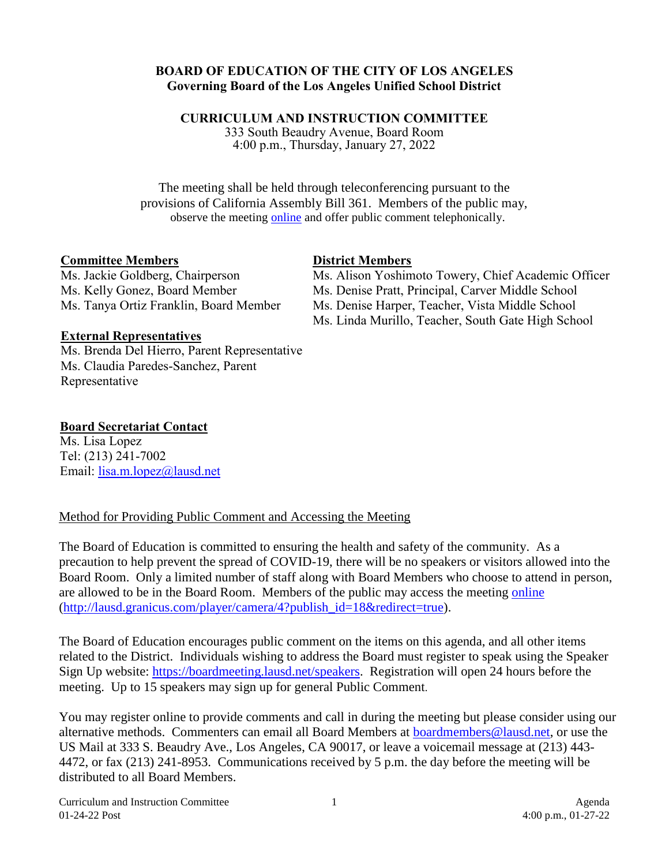#### **BOARD OF EDUCATION OF THE CITY OF LOS ANGELES Governing Board of the Los Angeles Unified School District**

#### **CURRICULUM AND INSTRUCTION COMMITTEE**

333 South Beaudry Avenue, Board Room 4:00 p.m., Thursday, January 27, 2022

The meeting shall be held through teleconferencing pursuant to the provisions of California Assembly Bill 361. Members of the public may, observe the meeting [online](http://lausd.granicus.com/player/camera/4?publish_id=18&redirect=true) and offer public comment telephonically.

### **Committee Members**

### **District Members**

Ms. Jackie Goldberg, Chairperson Ms. Kelly Gonez, Board Member Ms. Tanya Ortiz Franklin, Board Member Ms. Alison Yoshimoto Towery, Chief Academic Officer Ms. Denise Pratt, Principal, Carver Middle School Ms. Denise Harper, Teacher, Vista Middle School Ms. Linda Murillo, Teacher, South Gate High School

### **External Representatives**

Ms. Brenda Del Hierro, Parent Representative Ms. Claudia Paredes-Sanchez, Parent Representative

## **Board Secretariat Contact**

Ms. Lisa Lopez Tel: (213) 241-7002 Email: [lisa.m.lopez@lausd.net](mailto:lisa.m.lopez@lausd.net)

# Method for Providing Public Comment and Accessing the Meeting

The Board of Education is committed to ensuring the health and safety of the community. As a precaution to help prevent the spread of COVID-19, there will be no speakers or visitors allowed into the Board Room. Only a limited number of staff along with Board Members who choose to attend in person, are allowed to be in the Board Room. Members of the public may access the meeting [online](http://lausd.granicus.com/player/camera/4?publish_id=18&redirect=true) [\(http://lausd.granicus.com/player/camera/4?publish\\_id=18&redirect=true\)](http://lausd.granicus.com/player/camera/4?publish_id=18&redirect=true).

The Board of Education encourages public comment on the items on this agenda, and all other items related to the District. Individuals wishing to address the Board must register to speak using the Speaker Sign Up website: [https://boardmeeting.lausd.net/speakers.](https://boardmeeting.lausd.net/speakers) Registration will open 24 hours before the meeting. Up to 15 speakers may sign up for general Public Comment.

You may register online to provide comments and call in during the meeting but please consider using our alternative methods. Commenters can email all Board Members at [boardmembers@lausd.net,](mailto:boardmembers@lausd.net) or use the US Mail at 333 S. Beaudry Ave., Los Angeles, CA 90017, or leave a voicemail message at (213) 443- 4472, or fax (213) 241-8953. Communications received by 5 p.m. the day before the meeting will be distributed to all Board Members.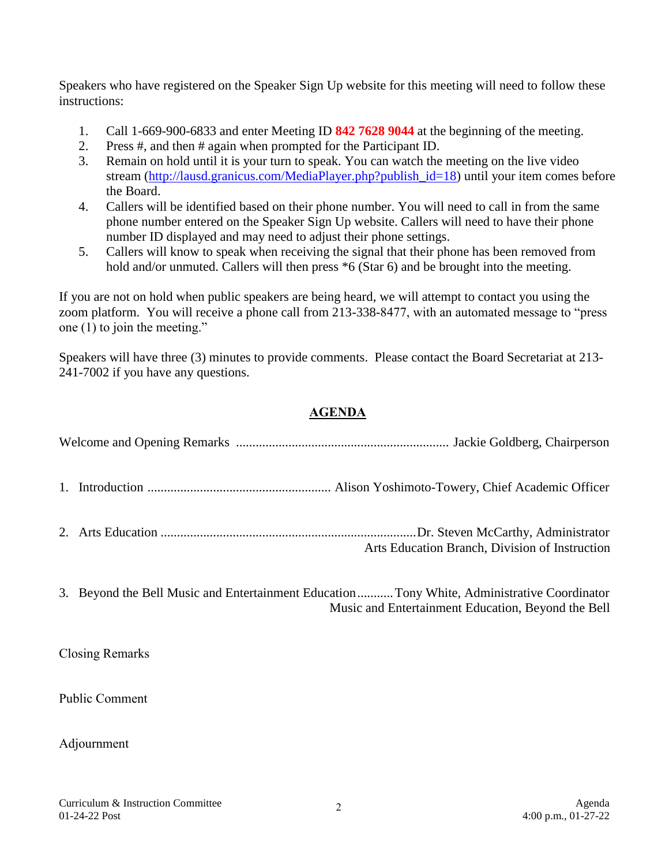Speakers who have registered on the Speaker Sign Up website for this meeting will need to follow these instructions:

- 1. Call 1-669-900-6833 and enter Meeting ID **842 7628 9044** at the beginning of the meeting.
- 2. Press #, and then # again when prompted for the Participant ID.
- 3. Remain on hold until it is your turn to speak. You can watch the meeting on the live video stream [\(http://lausd.granicus.com/MediaPlayer.php?publish\\_id=18\)](http://lausd.granicus.com/MediaPlayer.php?publish_id=18) until your item comes before the Board.
- 4. Callers will be identified based on their phone number. You will need to call in from the same phone number entered on the Speaker Sign Up website. Callers will need to have their phone number ID displayed and may need to adjust their phone settings.
- 5. Callers will know to speak when receiving the signal that their phone has been removed from hold and/or unmuted. Callers will then press  $*6$  (Star 6) and be brought into the meeting.

If you are not on hold when public speakers are being heard, we will attempt to contact you using the zoom platform. You will receive a phone call from 213-338-8477, with an automated message to "press one (1) to join the meeting."

Speakers will have three (3) minutes to provide comments. Please contact the Board Secretariat at 213- 241-7002 if you have any questions.

# **AGENDA**

|  | Arts Education Branch, Division of Instruction                                                                                                     |
|--|----------------------------------------------------------------------------------------------------------------------------------------------------|
|  | 3. Beyond the Bell Music and Entertainment Education  Tony White, Administrative Coordinator<br>Music and Entertainment Education, Beyond the Bell |

Closing Remarks

Public Comment

#### Adjournment